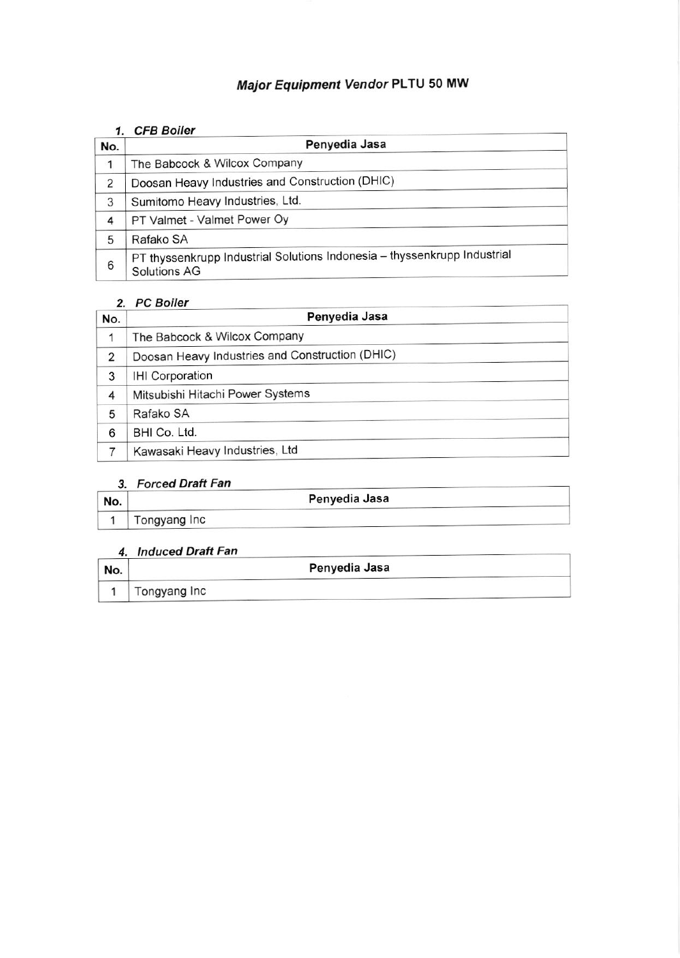# Major Equipment Vendor PLTU 50 MW

#### 1. CFB Boiler

| No. | Penyedia Jasa                                                                            |
|-----|------------------------------------------------------------------------------------------|
|     | The Babcock & Wilcox Company                                                             |
| 2   | Doosan Heavy Industries and Construction (DHIC)                                          |
| 3   | Sumitomo Heavy Industries, Ltd.                                                          |
| 4   | PT Valmet - Valmet Power Oy                                                              |
| 5   | Rafako SA                                                                                |
| 6   | PT thyssenkrupp Industrial Solutions Indonesia - thyssenkrupp Industrial<br>Solutions AG |

#### 2. PC Boiler

| No. | Penyedia Jasa                                   |
|-----|-------------------------------------------------|
|     | The Babcock & Wilcox Company                    |
| 2   | Doosan Heavy Industries and Construction (DHIC) |
| 3   | <b>IHI Corporation</b>                          |
| 4   | Mitsubishi Hitachi Power Systems                |
| 5   | Rafako SA                                       |
| 6   | BHI Co. Ltd.                                    |
|     | Kawasaki Heavy Industries, Ltd                  |

## 3. Forced Draft Fan

| No. |              | Penyedia Jasa |  |
|-----|--------------|---------------|--|
|     | Tongyang Inc |               |  |

## 4. lnduced Draft Fan

| No. |              | Penyedia Jasa |
|-----|--------------|---------------|
|     | Tongyang Inc |               |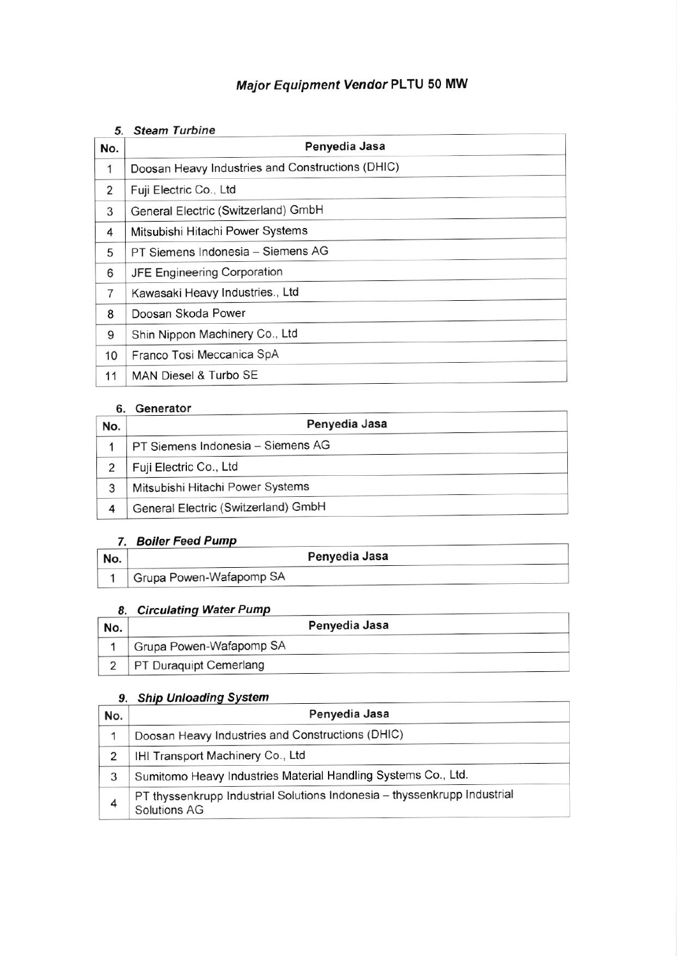# Major Equipment vendor PLTU 50 Mw

#### 5. Steam Turbine

| No.            | Penyedia Jasa                                    |
|----------------|--------------------------------------------------|
| 1              | Doosan Heavy Industries and Constructions (DHIC) |
| $\overline{2}$ | Fuji Electric Co., Ltd                           |
| 3              | General Electric (Switzerland) GmbH              |
| 4              | Mitsubishi Hitachi Power Systems                 |
| 5              | PT Siemens Indonesia - Siemens AG                |
| 6              | JFE Engineering Corporation                      |
| 7              | Kawasaki Heavy Industries., Ltd                  |
| 8              | Doosan Skoda Power                               |
| 9              | Shin Nippon Machinery Co., Ltd                   |
| 10             | Franco Tosi Meccanica SpA                        |
| 11             | MAN Diesel & Turbo SE                            |

#### 6. Generator

| No. | Penyedia Jasa                       |
|-----|-------------------------------------|
|     | PT Siemens Indonesia - Siemens AG   |
|     | Fuji Electric Co., Ltd              |
| 3   | Mitsubishi Hitachi Power Systems    |
| 4   | General Electric (Switzerland) GmbH |

## 7. Boiler Feed Pump

|     | <b>Boiler Feed Pump</b> |  |
|-----|-------------------------|--|
| No. | Penyedia Jasa           |  |
|     | Grupa Powen-Wafapomp SA |  |

#### 8. Circulating Water Pump

| No. | Penyedia Jasa           |  |
|-----|-------------------------|--|
|     | Grupa Powen-Wafapomp SA |  |
|     | PT Duraquipt Cemerlang  |  |

## 9. Ship Unloading System

| No. | Penyedia Jasa                                                                            |
|-----|------------------------------------------------------------------------------------------|
|     | Doosan Heavy Industries and Constructions (DHIC)                                         |
| 2   | IHI Transport Machinery Co., Ltd                                                         |
| 3   | Sumitomo Heavy Industries Material Handling Systems Co., Ltd.                            |
|     | PT thyssenkrupp Industrial Solutions Indonesia - thyssenkrupp Industrial<br>Solutions AG |